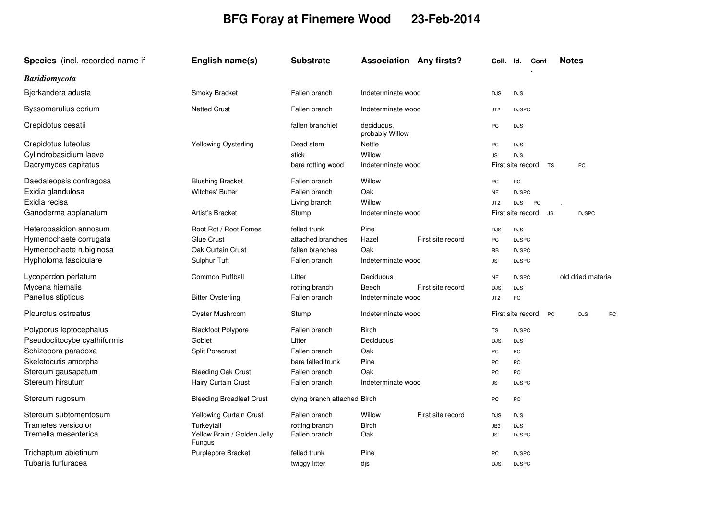## **BFG Foray at Finemere Wood 23-Feb-2014**

| <b>Species</b> (incl. recorded name if | English name(s)                              | <b>Substrate</b>            | <b>Association Any firsts?</b> | <b>Notes</b><br>Coll. Id.<br>Conf                  |
|----------------------------------------|----------------------------------------------|-----------------------------|--------------------------------|----------------------------------------------------|
| Basidiomycota                          |                                              |                             |                                |                                                    |
| Bjerkandera adusta                     | Smoky Bracket                                | Fallen branch               | Indeterminate wood             | <b>DJS</b><br><b>DJS</b>                           |
| Byssomerulius corium                   | <b>Netted Crust</b>                          | Fallen branch               | Indeterminate wood             | <b>DJSPC</b><br>JT <sub>2</sub>                    |
| Crepidotus cesatii                     |                                              | fallen branchlet            | deciduous.<br>probably Willow  | PC<br><b>DJS</b>                                   |
| Crepidotus luteolus                    | Yellowing Oysterling                         | Dead stem                   | Nettle                         | PC<br><b>DJS</b>                                   |
| Cylindrobasidium laeve                 |                                              | stick                       | Willow                         | JS<br><b>DJS</b>                                   |
| Dacrymyces capitatus                   |                                              | bare rotting wood           | Indeterminate wood             | First site record<br><b>TS</b><br>PC               |
| Daedaleopsis confragosa                | <b>Blushing Bracket</b>                      | Fallen branch               | Willow                         | PC<br>PC                                           |
| Exidia glandulosa                      | <b>Witches' Butter</b>                       | Fallen branch               | Oak                            | <b>NF</b><br><b>DJSPC</b>                          |
| Exidia recisa                          |                                              | Living branch               | Willow                         | JT <sub>2</sub><br><b>DJS</b><br><b>PC</b>         |
| Ganoderma applanatum                   | <b>Artist's Bracket</b>                      | Stump                       | Indeterminate wood             | First site record<br><b>JS</b><br><b>DJSPC</b>     |
| Heterobasidion annosum                 | Root Rot / Root Fomes                        | felled trunk                | Pine                           | <b>DJS</b><br><b>DJS</b>                           |
| Hymenochaete corrugata                 | Glue Crust                                   | attached branches           | Hazel<br>First site record     | PC<br><b>DJSPC</b>                                 |
| Hymenochaete rubiginosa                | Oak Curtain Crust                            | fallen branches             | Oak                            | <b>RB</b><br><b>DJSPC</b>                          |
| Hypholoma fasciculare                  | Sulphur Tuft                                 | Fallen branch               | Indeterminate wood             | <b>JS</b><br><b>DJSPC</b>                          |
| Lycoperdon perlatum                    | <b>Common Puffball</b>                       | Litter                      | Deciduous                      | old dried material<br><b>NF</b><br><b>DJSPC</b>    |
| Mycena hiemalis                        |                                              | rotting branch              | Beech<br>First site record     | <b>DJS</b><br><b>DJS</b>                           |
| Panellus stipticus                     | <b>Bitter Oysterling</b>                     | Fallen branch               | Indeterminate wood             | JT <sub>2</sub><br>PC                              |
| Pleurotus ostreatus                    | Oyster Mushroom                              | Stump                       | Indeterminate wood             | First site record<br><b>PC</b><br><b>DJS</b><br>PC |
| Polyporus leptocephalus                | <b>Blackfoot Polypore</b>                    | Fallen branch               | Birch                          | TS<br><b>DJSPC</b>                                 |
| Pseudoclitocybe cyathiformis           | Goblet                                       | Litter                      | Deciduous                      | <b>DJS</b><br><b>DJS</b>                           |
| Schizopora paradoxa                    | <b>Split Porecrust</b>                       | Fallen branch               | Oak                            | PC<br>PC                                           |
| Skeletocutis amorpha                   |                                              | bare felled trunk           | Pine                           | PC<br>PC                                           |
| Stereum gausapatum                     | <b>Bleeding Oak Crust</b>                    | Fallen branch               | Oak                            | PC<br>PC                                           |
| Stereum hirsutum                       | <b>Hairy Curtain Crust</b>                   | Fallen branch               | Indeterminate wood             | <b>JS</b><br><b>DJSPC</b>                          |
| Stereum rugosum                        | <b>Bleeding Broadleaf Crust</b>              | dying branch attached Birch |                                | PC<br>PC                                           |
| Stereum subtomentosum                  | Yellowing Curtain Crust                      | Fallen branch               | First site record<br>Willow    | <b>DJS</b><br><b>DJS</b>                           |
| Trametes versicolor                    | Turkeytail                                   | rotting branch              | <b>Birch</b>                   | JB3<br><b>DJS</b>                                  |
| Tremella mesenterica                   | Yellow Brain / Golden Jelly<br><b>Fungus</b> | Fallen branch               | Oak                            | <b>JS</b><br><b>DJSPC</b>                          |
| Trichaptum abietinum                   | Purplepore Bracket                           | felled trunk                | Pine                           | <b>DJSPC</b><br>PC                                 |
| Tubaria furfuracea                     |                                              | twiggy litter               | djs                            | <b>DJSPC</b><br><b>DJS</b>                         |